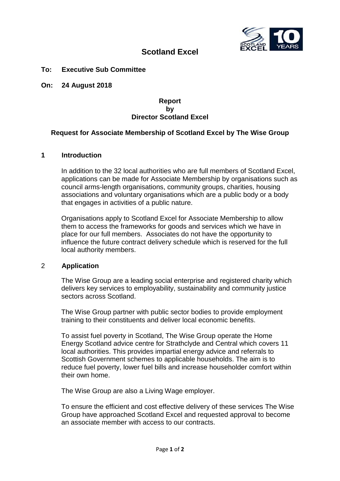

# **Scotland Excel**

# **To: Executive Sub Committee**

**On: 24 August 2018**

#### **Report by Director Scotland Excel**

# **Request for Associate Membership of Scotland Excel by The Wise Group**

#### **1 Introduction**

In addition to the 32 local authorities who are full members of Scotland Excel, applications can be made for Associate Membership by organisations such as council arms-length organisations, community groups, charities, housing associations and voluntary organisations which are a public body or a body that engages in activities of a public nature.

Organisations apply to Scotland Excel for Associate Membership to allow them to access the frameworks for goods and services which we have in place for our full members. Associates do not have the opportunity to influence the future contract delivery schedule which is reserved for the full local authority members.

#### 2 **Application**

The Wise Group are a leading social enterprise and registered charity which delivers key services to employability, sustainability and community justice sectors across Scotland.

The Wise Group partner with public sector bodies to provide employment training to their constituents and deliver local economic benefits.

To assist fuel poverty in Scotland, The Wise Group operate the Home Energy Scotland advice centre for Strathclyde and Central which covers 11 local authorities. This provides impartial energy advice and referrals to Scottish Government schemes to applicable households. The aim is to reduce fuel poverty, lower fuel bills and increase householder comfort within their own home.

The Wise Group are also a Living Wage employer.

To ensure the efficient and cost effective delivery of these services The Wise Group have approached Scotland Excel and requested approval to become an associate member with access to our contracts.